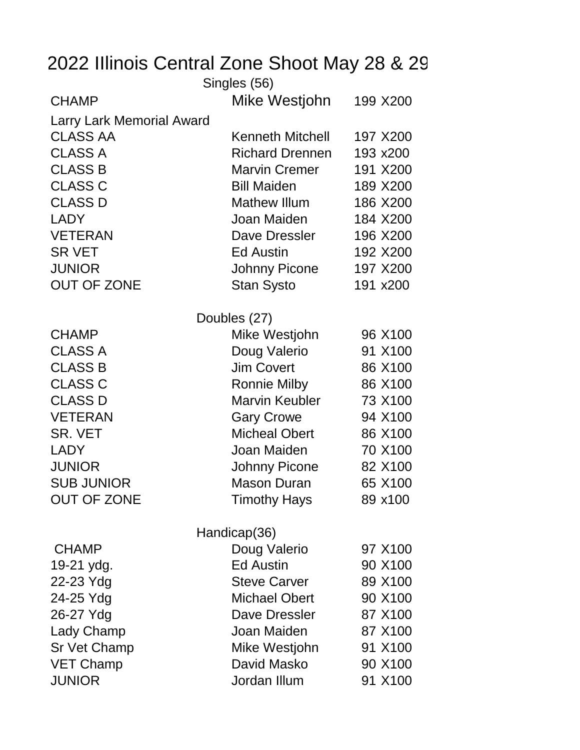## 2022 IIlinois Central Zone Shoot May 28 & 29

|                           | Singles (56)            |          |
|---------------------------|-------------------------|----------|
| <b>CHAMP</b>              | Mike Westjohn           | 199 X200 |
| Larry Lark Memorial Award |                         |          |
| <b>CLASS AA</b>           | <b>Kenneth Mitchell</b> | 197 X200 |
| <b>CLASS A</b>            | <b>Richard Drennen</b>  | 193 x200 |
| <b>CLASS B</b>            | <b>Marvin Cremer</b>    | 191 X200 |
| <b>CLASS C</b>            | <b>Bill Maiden</b>      | 189 X200 |
| <b>CLASS D</b>            | Mathew Illum            | 186 X200 |
| LADY                      | Joan Maiden             | 184 X200 |
| <b>VETERAN</b>            | Dave Dressler           | 196 X200 |
| <b>SR VET</b>             | <b>Ed Austin</b>        | 192 X200 |
| <b>JUNIOR</b>             | Johnny Picone           | 197 X200 |
| <b>OUT OF ZONE</b>        | <b>Stan Systo</b>       | 191 x200 |
|                           | Doubles (27)            |          |
| <b>CHAMP</b>              | Mike Westjohn           | 96 X100  |
| <b>CLASS A</b>            | Doug Valerio            | 91 X100  |
| <b>CLASS B</b>            | <b>Jim Covert</b>       | 86 X100  |
| <b>CLASS C</b>            | Ronnie Milby            | 86 X100  |
| <b>CLASS D</b>            | Marvin Keubler          | 73 X100  |
| <b>VETERAN</b>            | <b>Gary Crowe</b>       | 94 X100  |
| SR. VET                   | <b>Micheal Obert</b>    | 86 X100  |
| <b>LADY</b>               | Joan Maiden             | 70 X100  |
| <b>JUNIOR</b>             | Johnny Picone           | 82 X100  |
| <b>SUB JUNIOR</b>         | <b>Mason Duran</b>      | 65 X100  |
| <b>OUT OF ZONE</b>        | Timothy Hays            | 89 x100  |
|                           | Handicap(36)            |          |
| <b>CHAMP</b>              | Doug Valerio            | 97 X100  |
| 19-21 ydg.                | <b>Ed Austin</b>        | 90 X100  |
| 22-23 Ydg                 | <b>Steve Carver</b>     | 89 X100  |
| 24-25 Ydg                 | <b>Michael Obert</b>    | 90 X100  |
| 26-27 Ydg                 | Dave Dressler           | 87 X100  |
| Lady Champ                | Joan Maiden             | 87 X100  |
| Sr Vet Champ              | Mike Westjohn           | 91 X100  |
| <b>VET Champ</b>          | David Masko             | 90 X100  |
| <b>JUNIOR</b>             | Jordan Illum            | 91 X100  |